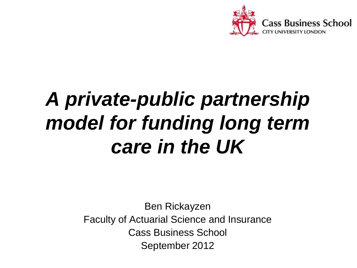

### *A private-public partnership model for funding long term care in the UK*

Ben Rickayzen Faculty of Actuarial Science and Insurance Cass Business School September 2012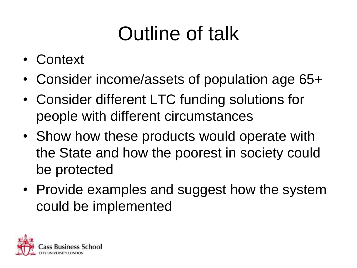### Outline of talk

- Context
- Consider income/assets of population age 65+
- Consider different LTC funding solutions for people with different circumstances
- Show how these products would operate with the State and how the poorest in society could be protected
- Provide examples and suggest how the system could be implemented

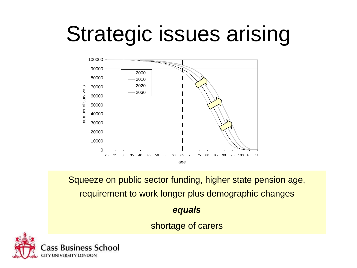## Strategic issues arising



Squeeze on public sector funding, higher state pension age, requirement to work longer plus demographic changes

#### *equals*

shortage of carers

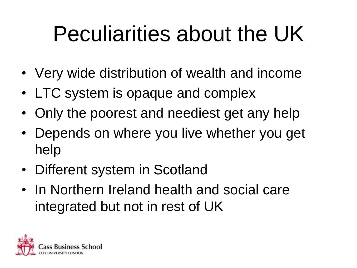## Peculiarities about the UK

- Very wide distribution of wealth and income
- LTC system is opaque and complex
- Only the poorest and neediest get any help
- Depends on where you live whether you get help
- Different system in Scotland
- In Northern Ireland health and social care integrated but not in rest of UK

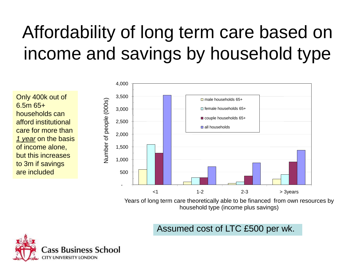### Affordability of long term care based on income and savings by household type

Only 400k out of 6.5m 65+ households can afford institutional care for more than *1 year* on the basis of income alone, but this increases to 3m if savings are included



Years of long term care theoretically able to be financed from own resources by household type (income plus savings)

Assumed cost of LTC £500 per wk.

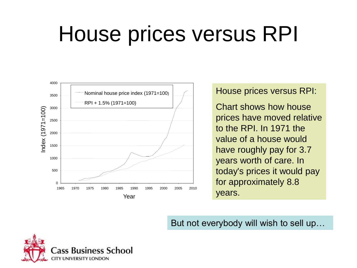### House prices versus RPI



#### House prices versus RPI:

Chart shows how house prices have moved relative to the RPI. In 1971 the value of a house would have roughly pay for 3.7 years worth of care. In today's prices it would pay for approximately 8.8 years.

But not everybody will wish to sell up…

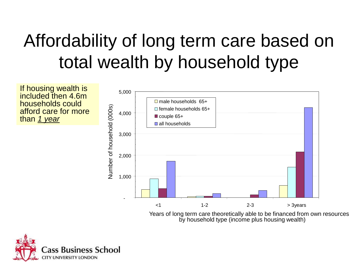### Affordability of long term care based on total wealth by household type

If housing wealth is included then 4.6m households could afford care for more than *1 year*



by household type (income plus housing wealth)

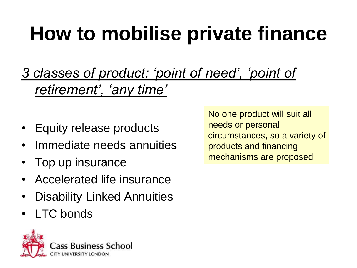### **How to mobilise private finance**

*3 classes of product: 'point of need', 'point of retirement', 'any time'*

- Equity release products
- Immediate needs annuities
- Top up insurance
- Accelerated life insurance
- **Disability Linked Annuities**
- LTC bonds



No one product will suit all needs or personal circumstances, so a variety of products and financing mechanisms are proposed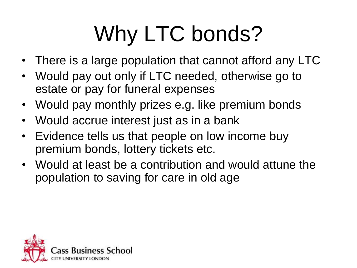# Why LTC bonds?

- There is a large population that cannot afford any LTC
- Would pay out only if LTC needed, otherwise go to estate or pay for funeral expenses
- Would pay monthly prizes e.g. like premium bonds
- Would accrue interest just as in a bank
- Evidence tells us that people on low income buy premium bonds, lottery tickets etc.
- Would at least be a contribution and would attune the population to saving for care in old age

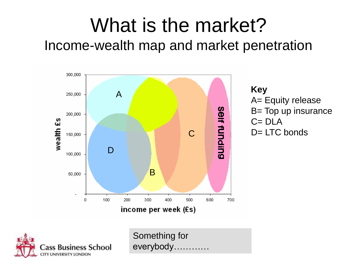### What is the market? Income-wealth map and market penetration



**Key** A= Equity release B= Top up insurance  $C = DLA$ D= LTC bonds



Something for everybody…………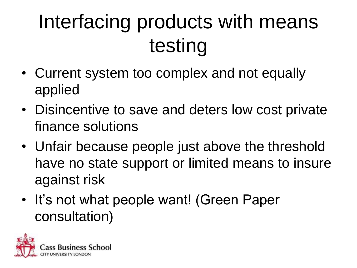## Interfacing products with means testing

- Current system too complex and not equally applied
- Disincentive to save and deters low cost private finance solutions
- Unfair because people just above the threshold have no state support or limited means to insure against risk
- It's not what people want! (Green Paper consultation)

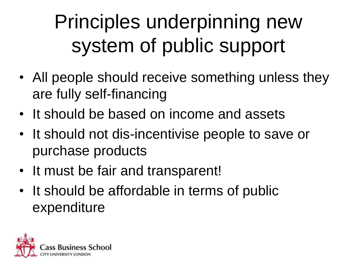Principles underpinning new system of public support

- All people should receive something unless they are fully self-financing
- It should be based on income and assets
- It should not dis-incentivise people to save or purchase products
- It must be fair and transparent!
- It should be affordable in terms of public expenditure

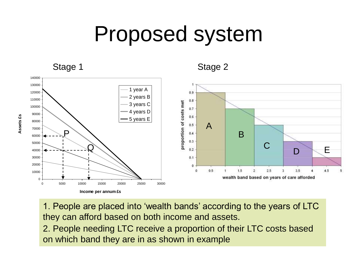### Proposed system



1. People are placed into 'wealth bands' according to the years of LTC they can afford based on both income and assets.

2. People needing LTC receive a proportion of their LTC costs based on which band they are in as shown in example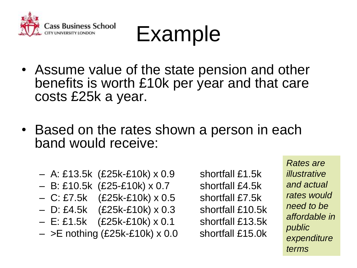

Example

- Assume value of the state pension and other benefits is worth £10k per year and that care costs £25k a year.
- Based on the rates shown a person in each band would receive:
	- A: £13.5k (£25k-£10k) x 0.9 shortfall £1.5k
	- B: £10.5k (£25-£10k) x 0.7 shortfall £4.5k
	- C: £7.5k (£25k-£10k) x 0.5 shortfall £7.5k
	- D: £4.5k (£25k-£10k) x 0.3 shortfall £10.5k
	- E: £1.5k (£25k-£10k) x 0.1 shortfall £13.5k
	- $-$  >E nothing (£25k-£10k) x 0.0 shortfall £15.0k

*Rates are illustrative and actual rates would need to be affordable in public expenditure terms*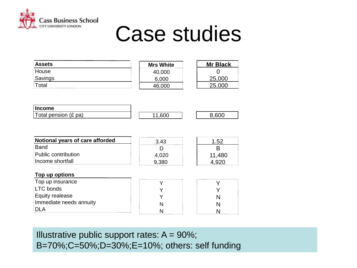

**Top up options**

### Case studies

| <b>Assets</b> | <b>Mrs White</b> | <b>Mr Black</b> |
|---------------|------------------|-----------------|
| House         | 40,000           |                 |
| Savings       | 6,000            | 25,000          |
| Total         | 46,000           | 25,000          |

| Income                      |      |      |
|-----------------------------|------|------|
| Total pension $(E)$<br>`pa. | .60C | .600 |

| Notional years of care afforded | 3.43  | 1.52   |
|---------------------------------|-------|--------|
| <b>Band</b>                     |       |        |
| Public contribution             | 4,020 | 11,480 |
| Income shortfall                | 9.380 |        |

| <b>TOD UP OPHOTS</b>    |  |
|-------------------------|--|
| Top up insurance        |  |
| LTC bonds               |  |
| Equity realease         |  |
| Immediate needs annuity |  |
|                         |  |

Illustrative public support rates:  $A = 90\%$ ; B=70%;C=50%;D=30%;E=10%; others: self funding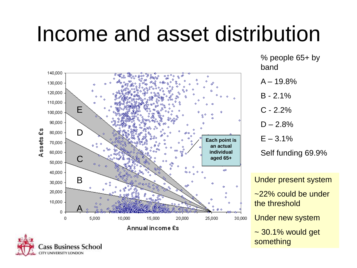### Income and asset distribution



ass Business School UNIVERSITY LONDON

% people 65+ by band

 $A - 19.8%$ 

 $B - 2.1%$ 

 $C - 2.2%$ 

 $D - 2.8%$ 

 $E - 3.1%$ 

Self funding 69.9%

Under present system ~22% could be under the threshold Under new system

~ 30.1% would get something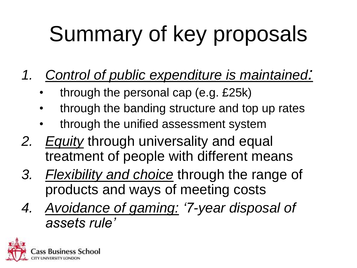# Summary of key proposals

- *1. Control of public expenditure is maintained:*
	- through the personal cap (e.g. £25k)
	- through the banding structure and top up rates
	- through the unified assessment system
- *2. Equity* through universality and equal treatment of people with different means
- *3. Flexibility and choice* through the range of products and ways of meeting costs
- *4. Avoidance of gaming: '7-year disposal of assets rule'*

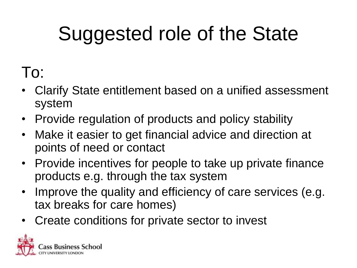## Suggested role of the State

#### To:

- Clarify State entitlement based on a unified assessment system
- Provide regulation of products and policy stability
- Make it easier to get financial advice and direction at points of need or contact
- Provide incentives for people to take up private finance products e.g. through the tax system
- Improve the quality and efficiency of care services (e.g. tax breaks for care homes)
- Create conditions for private sector to invest